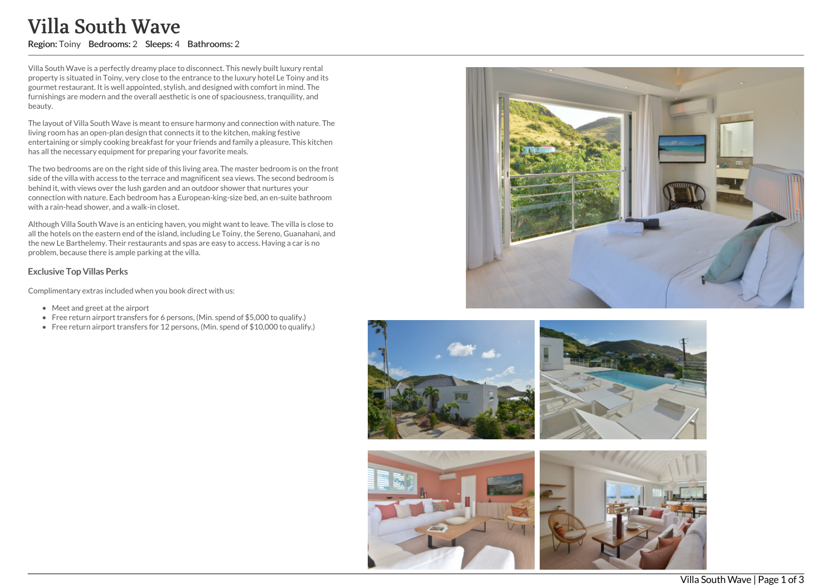## Villa South Wave

## Region: Toiny Bedrooms: 2 Sleeps: 4 Bathrooms: 2

Villa South Wave is a perfectly dreamy place to disconnect. This newly built luxury rental property is situated in Toiny, very close to the entrance to the luxury hotel Le Toiny and its gourmet restaurant. It is well appointed, stylish, and designed with comfort in mind. The furnishings are modern and the overall aesthetic is one of spaciousness, tranquility, and beauty.

The layout of Villa South Wave is meant to ensure harmony and connection with nature. The living room has an open-plan design that connects it to the kitchen, making festive entertaining or simply cooking breakfast for your friends and family a pleasure. This kitchen has all the necessary equipment for preparing your favorite meals.

The two bedrooms are on the right side of this living area. The master bedroom is on the front side of the villa with access to the terrace and magnificent sea views. The second bedroom is behind it, with views over the lush garden and an outdoor shower that nurtures your connection with nature. Each bedroom has a European-king-size bed, an en-suite bathroom with a rain-head shower, and a walk-in closet.

Although Villa South Wave is an enticing haven, you might want to leave. The villa is close to all the hotels on the eastern end of the island, including Le Toiny, the Sereno, Guanahani, and the new Le Barthelemy. Their restaurants and spas are easy to access. Having a car is no problem, because there is ample parking at the villa.

## Exclusive Top Villas Perks

Complimentary extras included when you book direct with us:

- Meet and greet at the airport
- Free return airport transfers for 6 persons, (Min. spend of \$5,000 to qualify.)
- Free return airport transfers for 12 persons, (Min. spend of \$10,000 to qualify.)



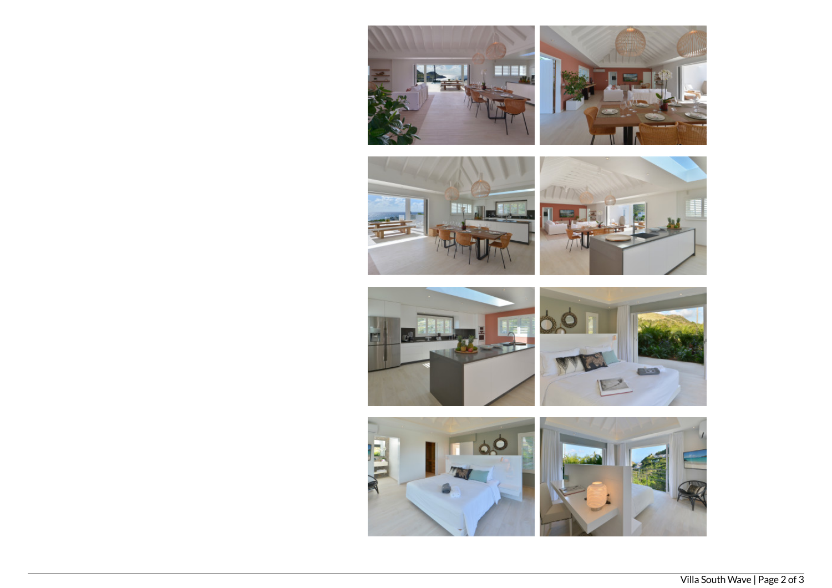